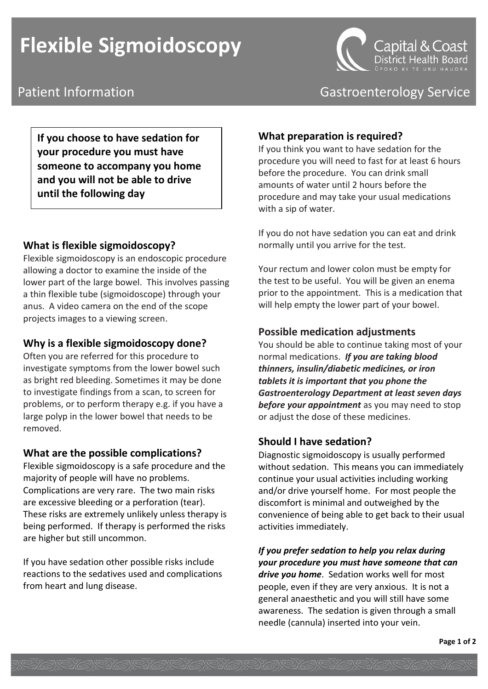# **Flexible Sigmoidoscopy**



**If you choose to have sedation for your procedure you must have someone to accompany you home and you will not be able to drive until the following day** 

## **What is flexible sigmoidoscopy?**

Flexible sigmoidoscopy is an endoscopic procedure allowing a doctor to examine the inside of the lower part of the large bowel. This involves passing a thin flexible tube (sigmoidoscope) through your anus. A video camera on the end of the scope projects images to a viewing screen.

## **Why is a flexible sigmoidoscopy done?**

Often you are referred for this procedure to investigate symptoms from the lower bowel such as bright red bleeding. Sometimes it may be done to investigate findings from a scan, to screen for problems, or to perform therapy e.g. if you have a large polyp in the lower bowel that needs to be removed.

## **What are the possible complications?**

Flexible sigmoidoscopy is a safe procedure and the majority of people will have no problems. Complications are very rare. The two main risks are excessive bleeding or a perforation (tear). These risks are extremely unlikely unless therapy is being performed. If therapy is performed the risks are higher but still uncommon.

If you have sedation other possible risks include reactions to the sedatives used and complications from heart and lung disease.



Patient Information **Contract Contract Contract Contract Contract Contract Contract Contract Contract Contract Contract Contract Contract Contract Contract Contract Contract Contract Contract Contract Contract Contract Con** 

## **What preparation is required?**

If you think you want to have sedation for the procedure you will need to fast for at least 6 hours before the procedure. You can drink small amounts of water until 2 hours before the procedure and may take your usual medications with a sip of water.

If you do not have sedation you can eat and drink normally until you arrive for the test.

Your rectum and lower colon must be empty for the test to be useful. You will be given an enema prior to the appointment. This is a medication that will help empty the lower part of your bowel.

## **Possible medication adjustments**

You should be able to continue taking most of your normal medications. *If you are taking blood thinners, insulin/diabetic medicines, or iron tablets it is important that you phone the Gastroenterology Department at least seven days before your appointment* as you may need to stop or adjust the dose of these medicines.

## **Should I have sedation?**

Diagnostic sigmoidoscopy is usually performed without sedation. This means you can immediately continue your usual activities including working and/or drive yourself home. For most people the discomfort is minimal and outweighed by the convenience of being able to get back to their usual activities immediately.

*If you prefer sedation to help you relax during your procedure you must have someone that can drive you home*. Sedation works well for most people, even if they are very anxious. It is not a general anaesthetic and you will still have some awareness. The sedation is given through a small needle (cannula) inserted into your vein.